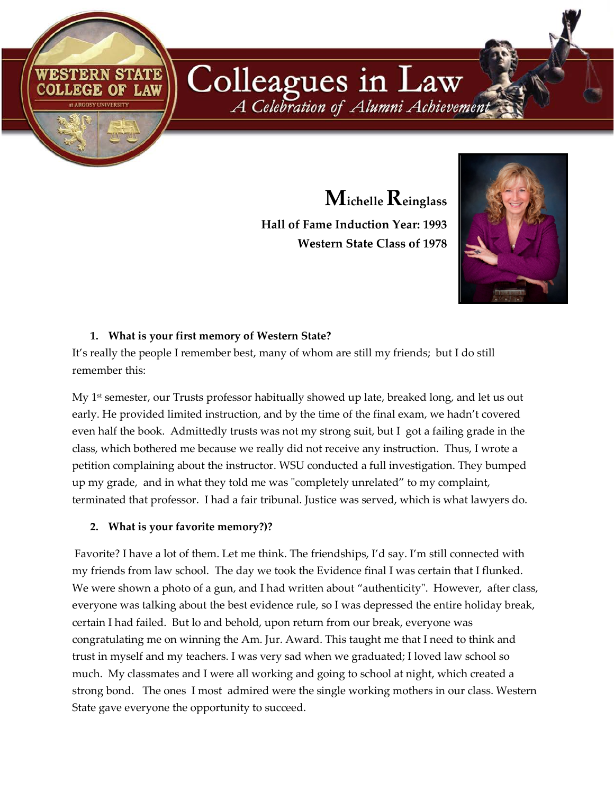**Michelle Reinglass Hall of Fame Induction Year: 1993 Western State Class of 1978**

A Celebration of Alumni Achievement

Colleagues in Law



# **1. What is your first memory of Western State?**

RN STATE

COLLEGE OF LAW

It's really the people I remember best, many of whom are still my friends; but I do still remember this:

My  $1<sup>st</sup>$  semester, our Trusts professor habitually showed up late, breaked long, and let us out early. He provided limited instruction, and by the time of the final exam, we hadn't covered even half the book. Admittedly trusts was not my strong suit, but I got a failing grade in the class, which bothered me because we really did not receive any instruction. Thus, I wrote a petition complaining about the instructor. WSU conducted a full investigation. They bumped up my grade, and in what they told me was "completely unrelated" to my complaint, terminated that professor. I had a fair tribunal. Justice was served, which is what lawyers do.

# **2. What is your favorite memory?)?**

Favorite? I have a lot of them. Let me think. The friendships, I'd say. I'm still connected with my friends from law school. The day we took the Evidence final I was certain that I flunked. We were shown a photo of a gun, and I had written about "authenticity". However, after class, everyone was talking about the best evidence rule, so I was depressed the entire holiday break, certain I had failed. But lo and behold, upon return from our break, everyone was congratulating me on winning the Am. Jur. Award. This taught me that I need to think and trust in myself and my teachers. I was very sad when we graduated; I loved law school so much. My classmates and I were all working and going to school at night, which created a strong bond. The ones I most admired were the single working mothers in our class. Western State gave everyone the opportunity to succeed.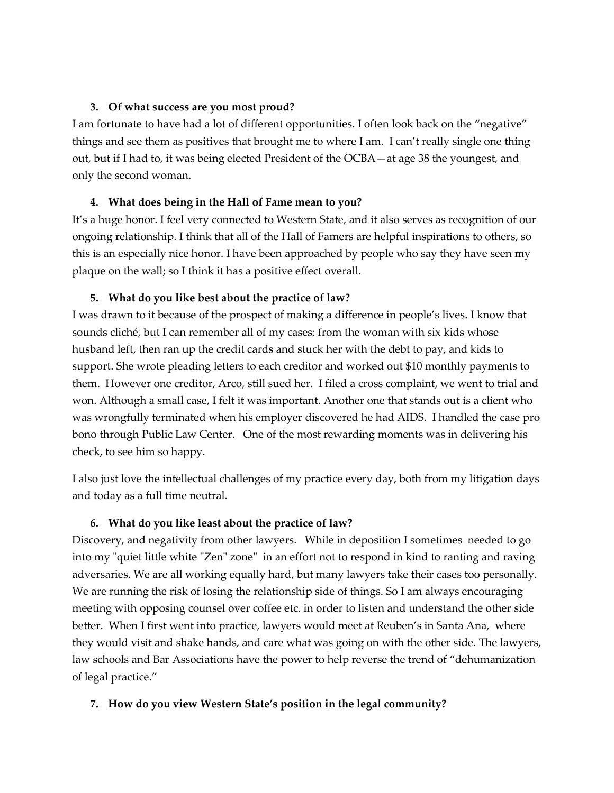### **3. Of what success are you most proud?**

I am fortunate to have had a lot of different opportunities. I often look back on the "negative" things and see them as positives that brought me to where I am. I can't really single one thing out, but if I had to, it was being elected President of the OCBA—at age 38 the youngest, and only the second woman.

# **4. What does being in the Hall of Fame mean to you?**

It's a huge honor. I feel very connected to Western State, and it also serves as recognition of our ongoing relationship. I think that all of the Hall of Famers are helpful inspirations to others, so this is an especially nice honor. I have been approached by people who say they have seen my plaque on the wall; so I think it has a positive effect overall.

### **5. What do you like best about the practice of law?**

I was drawn to it because of the prospect of making a difference in people's lives. I know that sounds cliché, but I can remember all of my cases: from the woman with six kids whose husband left, then ran up the credit cards and stuck her with the debt to pay, and kids to support. She wrote pleading letters to each creditor and worked out \$10 monthly payments to them. However one creditor, Arco, still sued her. I filed a cross complaint, we went to trial and won. Although a small case, I felt it was important. Another one that stands out is a client who was wrongfully terminated when his employer discovered he had AIDS. I handled the case pro bono through Public Law Center. One of the most rewarding moments was in delivering his check, to see him so happy.

I also just love the intellectual challenges of my practice every day, both from my litigation days and today as a full time neutral.

# **6. What do you like least about the practice of law?**

Discovery, and negativity from other lawyers. While in deposition I sometimes needed to go into my "quiet little white "Zen" zone" in an effort not to respond in kind to ranting and raving adversaries. We are all working equally hard, but many lawyers take their cases too personally. We are running the risk of losing the relationship side of things. So I am always encouraging meeting with opposing counsel over coffee etc. in order to listen and understand the other side better. When I first went into practice, lawyers would meet at Reuben's in Santa Ana, where they would visit and shake hands, and care what was going on with the other side. The lawyers, law schools and Bar Associations have the power to help reverse the trend of "dehumanization of legal practice."

# **7. How do you view Western State's position in the legal community?**